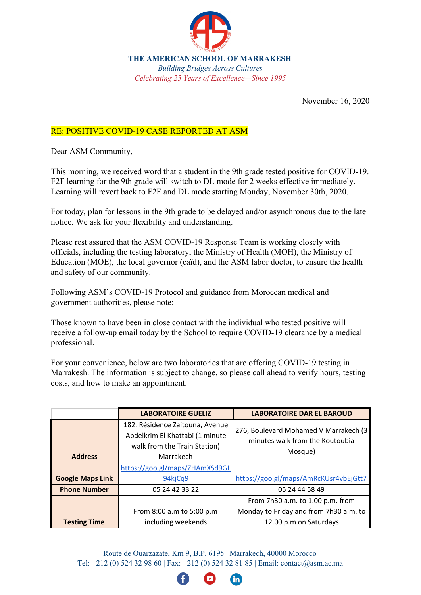

**THE AMERICAN SCHOOL OF MARRAKESH** *Building Bridges Across Cultures Celebrating 25 Years of Excellence—Since 1995*

November 16, 2020

## RE: POSITIVE COVID-19 CASE REPORTED AT ASM

Dear ASM Community,

This morning, we received word that a student in the 9th grade tested positive for COVID-19. F2F learning for the 9th grade will switch to DL mode for 2 weeks effective immediately. Learning will revert back to F2F and DL mode starting Monday, November 30th, 2020.

For today, plan for lessons in the 9th grade to be delayed and/or asynchronous due to the late notice. We ask for your flexibility and understanding.

Please rest assured that the ASM COVID-19 Response Team is working closely with officials, including the testing laboratory, the Ministry of Health (MOH), the Ministry of Education (MOE), the local governor (caïd), and the ASM labor doctor, to ensure the health and safety of our community.

Following ASM's COVID-19 Protocol and guidance from Moroccan medical and government authorities, please note:

Those known to have been in close contact with the individual who tested positive will receive a follow-up email today by the School to require COVID-19 clearance by a medical professional.

For your convenience, below are two laboratories that are offering COVID-19 testing in Marrakesh. The information is subject to change, so please call ahead to verify hours, testing costs, and how to make an appointment.

|                         | <b>LABORATOIRE GUELIZ</b>                                                                                       | <b>LABORATOIRE DAR EL BAROUD</b>                                                      |
|-------------------------|-----------------------------------------------------------------------------------------------------------------|---------------------------------------------------------------------------------------|
| <b>Address</b>          | 182, Résidence Zaitouna, Avenue<br>Abdelkrim El Khattabi (1 minute<br>walk from the Train Station)<br>Marrakech | [276, Boulevard Mohamed V Marrakech (3]<br>minutes walk from the Koutoubia<br>Mosque) |
|                         | https://goo.gl/maps/ZHAmXSd9GL                                                                                  |                                                                                       |
| <b>Google Maps Link</b> | 94kjCa9                                                                                                         | https://goo.gl/maps/AmRcKUsr4vbEjGtt7                                                 |
| <b>Phone Number</b>     | 05 24 42 33 22                                                                                                  | 05 24 44 58 49                                                                        |
|                         |                                                                                                                 | From 7h30 a.m. to 1.00 p.m. from                                                      |
|                         | From 8:00 a.m to 5:00 p.m                                                                                       | Monday to Friday and from 7h30 a.m. to                                                |
| <b>Testing Time</b>     | including weekends                                                                                              | 12.00 p.m on Saturdays                                                                |

Route de Ouarzazate, Km 9, B.P. 6195 | Marrakech, 40000 Morocco Tel: +212 (0) 524 32 98 60 | Fax: +212 (0) 524 32 81 85 | Email: [contact@asm.ac.ma](mailto:contact@asm.ac.ma)

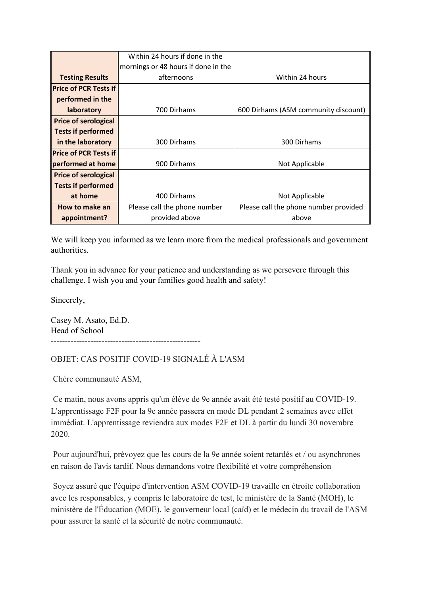|                              | Within 24 hours if done in the      |                                       |
|------------------------------|-------------------------------------|---------------------------------------|
|                              | mornings or 48 hours if done in the |                                       |
| <b>Testing Results</b>       | afternoons                          | Within 24 hours                       |
| <b>Price of PCR Tests if</b> |                                     |                                       |
| performed in the             |                                     |                                       |
| <b>laboratory</b>            | 700 Dirhams                         | 600 Dirhams (ASM community discount)  |
| <b>Price of serological</b>  |                                     |                                       |
| <b>Tests if performed</b>    |                                     |                                       |
| in the laboratory            | 300 Dirhams                         | 300 Dirhams                           |
| <b>Price of PCR Tests if</b> |                                     |                                       |
| performed at home            | 900 Dirhams                         | Not Applicable                        |
| <b>Price of serological</b>  |                                     |                                       |
| <b>Tests if performed</b>    |                                     |                                       |
| at home                      | 400 Dirhams                         | Not Applicable                        |
| How to make an               | Please call the phone number        | Please call the phone number provided |
| appointment?                 | provided above                      | above                                 |

We will keep you informed as we learn more from the medical professionals and government authorities.

Thank you in advance for your patience and understanding as we persevere through this challenge. I wish you and your families good health and safety!

Sincerely,

Casey M. Asato, Ed.D. Head of School -----------------------------------------------------

OBJET: CAS POSITIF COVID-19 SIGNALÉ À L'ASM

Chère communauté ASM,

 Ce matin, nous avons appris qu'un élève de 9e année avait été testé positif au COVID-19. L'apprentissage F2F pour la 9e année passera en mode DL pendant 2 semaines avec effet immédiat. L'apprentissage reviendra aux modes F2F et DL à partir du lundi 30 novembre 2020.

 Pour aujourd'hui, prévoyez que les cours de la 9e année soient retardés et / ou asynchrones en raison de l'avis tardif. Nous demandons votre flexibilité et votre compréhension

 Soyez assuré que l'équipe d'intervention ASM COVID-19 travaille en étroite collaboration avec les responsables, y compris le laboratoire de test, le ministère de la Santé (MOH), le ministère de l'Éducation (MOE), le gouverneur local (caïd) et le médecin du travail de l'ASM pour assurer la santé et la sécurité de notre communauté.